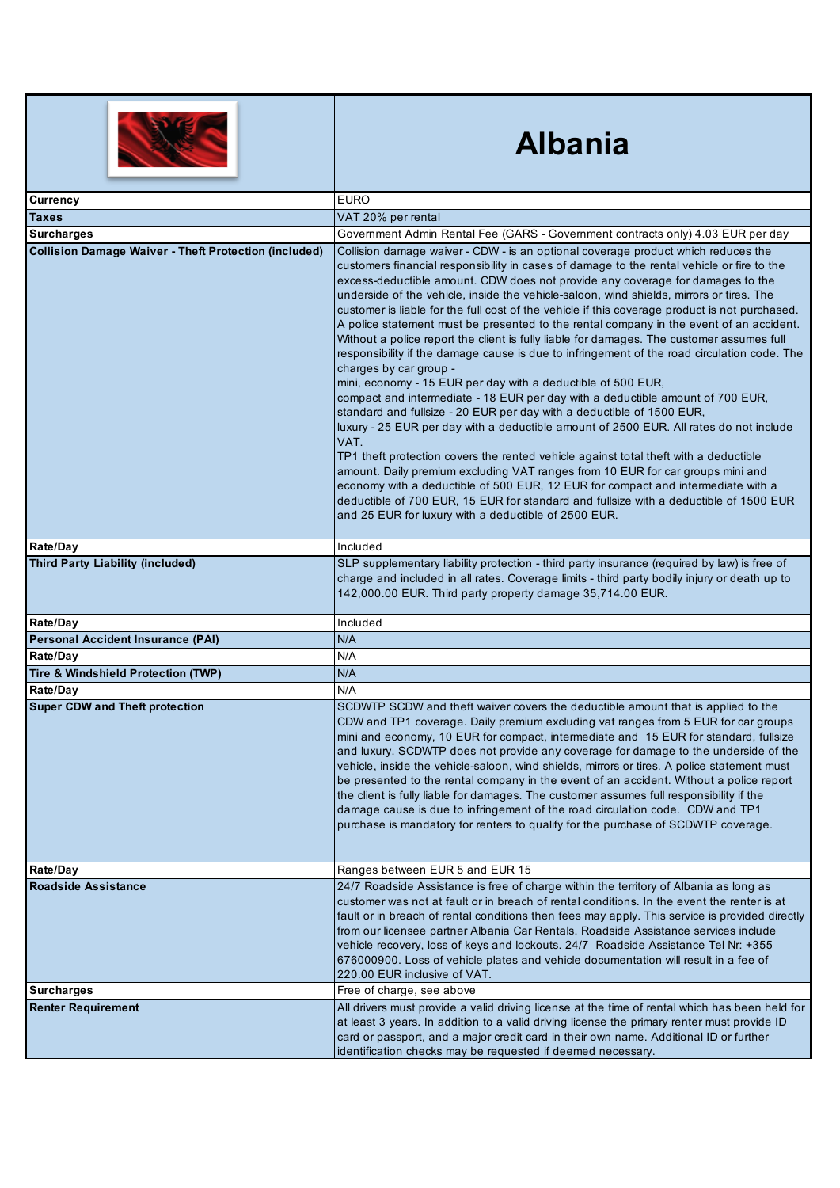|                                                              | <b>Albania</b>                                                                                                                                                                                                                                                                                                                                                                                                                                                                                                                                                                                                                                                                                                                                                                                                                                                                                                                                                                                                                                                                                                                                                                                                                                                                                                                                                                                                                                                                                                               |
|--------------------------------------------------------------|------------------------------------------------------------------------------------------------------------------------------------------------------------------------------------------------------------------------------------------------------------------------------------------------------------------------------------------------------------------------------------------------------------------------------------------------------------------------------------------------------------------------------------------------------------------------------------------------------------------------------------------------------------------------------------------------------------------------------------------------------------------------------------------------------------------------------------------------------------------------------------------------------------------------------------------------------------------------------------------------------------------------------------------------------------------------------------------------------------------------------------------------------------------------------------------------------------------------------------------------------------------------------------------------------------------------------------------------------------------------------------------------------------------------------------------------------------------------------------------------------------------------------|
| Currency                                                     | <b>EURO</b>                                                                                                                                                                                                                                                                                                                                                                                                                                                                                                                                                                                                                                                                                                                                                                                                                                                                                                                                                                                                                                                                                                                                                                                                                                                                                                                                                                                                                                                                                                                  |
| Taxes                                                        | VAT 20% per rental                                                                                                                                                                                                                                                                                                                                                                                                                                                                                                                                                                                                                                                                                                                                                                                                                                                                                                                                                                                                                                                                                                                                                                                                                                                                                                                                                                                                                                                                                                           |
| <b>Surcharges</b>                                            | Government Admin Rental Fee (GARS - Government contracts only) 4.03 EUR per day                                                                                                                                                                                                                                                                                                                                                                                                                                                                                                                                                                                                                                                                                                                                                                                                                                                                                                                                                                                                                                                                                                                                                                                                                                                                                                                                                                                                                                              |
| <b>Collision Damage Waiver - Theft Protection (included)</b> | Collision damage waiver - CDW - is an optional coverage product which reduces the<br>customers financial responsibility in cases of damage to the rental vehicle or fire to the<br>excess-deductible amount. CDW does not provide any coverage for damages to the<br>underside of the vehicle, inside the vehicle-saloon, wind shields, mirrors or tires. The<br>customer is liable for the full cost of the vehicle if this coverage product is not purchased.<br>A police statement must be presented to the rental company in the event of an accident.<br>Without a police report the client is fully liable for damages. The customer assumes full<br>responsibility if the damage cause is due to infringement of the road circulation code. The<br>charges by car group -<br>mini, economy - 15 EUR per day with a deductible of 500 EUR,<br>compact and intermediate - 18 EUR per day with a deductible amount of 700 EUR,<br>standard and fullsize - 20 EUR per day with a deductible of 1500 EUR,<br>luxury - 25 EUR per day with a deductible amount of 2500 EUR. All rates do not include<br>VAT.<br>TP1 theft protection covers the rented vehicle against total theft with a deductible<br>amount. Daily premium excluding VAT ranges from 10 EUR for car groups mini and<br>economy with a deductible of 500 EUR, 12 EUR for compact and intermediate with a<br>deductible of 700 EUR, 15 EUR for standard and fullsize with a deductible of 1500 EUR<br>and 25 EUR for luxury with a deductible of 2500 EUR. |
| Rate/Day                                                     | Included                                                                                                                                                                                                                                                                                                                                                                                                                                                                                                                                                                                                                                                                                                                                                                                                                                                                                                                                                                                                                                                                                                                                                                                                                                                                                                                                                                                                                                                                                                                     |
| <b>Third Party Liability (included)</b>                      | SLP supplementary liability protection - third party insurance (required by law) is free of<br>charge and included in all rates. Coverage limits - third party bodily injury or death up to<br>142,000.00 EUR. Third party property damage 35,714.00 EUR.                                                                                                                                                                                                                                                                                                                                                                                                                                                                                                                                                                                                                                                                                                                                                                                                                                                                                                                                                                                                                                                                                                                                                                                                                                                                    |
| Rate/Day                                                     | Included                                                                                                                                                                                                                                                                                                                                                                                                                                                                                                                                                                                                                                                                                                                                                                                                                                                                                                                                                                                                                                                                                                                                                                                                                                                                                                                                                                                                                                                                                                                     |
| <b>Personal Accident Insurance (PAI)</b>                     | N/A                                                                                                                                                                                                                                                                                                                                                                                                                                                                                                                                                                                                                                                                                                                                                                                                                                                                                                                                                                                                                                                                                                                                                                                                                                                                                                                                                                                                                                                                                                                          |
| Rate/Day                                                     | N/A                                                                                                                                                                                                                                                                                                                                                                                                                                                                                                                                                                                                                                                                                                                                                                                                                                                                                                                                                                                                                                                                                                                                                                                                                                                                                                                                                                                                                                                                                                                          |
| Tire & Windshield Protection (TWP)                           | N/A                                                                                                                                                                                                                                                                                                                                                                                                                                                                                                                                                                                                                                                                                                                                                                                                                                                                                                                                                                                                                                                                                                                                                                                                                                                                                                                                                                                                                                                                                                                          |
| Rate/Day                                                     | N/A                                                                                                                                                                                                                                                                                                                                                                                                                                                                                                                                                                                                                                                                                                                                                                                                                                                                                                                                                                                                                                                                                                                                                                                                                                                                                                                                                                                                                                                                                                                          |
| <b>Super CDW and Theft protection</b>                        | SCDWTP SCDW and theft waiver covers the deductible amount that is applied to the<br>CDW and TP1 coverage. Daily premium excluding vat ranges from 5 EUR for car groups<br>mini and economy, 10 EUR for compact, intermediate and 15 EUR for standard, fullsize<br>and luxury. SCDWTP does not provide any coverage for damage to the underside of the<br>vehicle, inside the vehicle-saloon, wind shields, mirrors or tires. A police statement must<br>be presented to the rental company in the event of an accident. Without a police report<br>the client is fully liable for damages. The customer assumes full responsibility if the<br>damage cause is due to infringement of the road circulation code. CDW and TP1<br>purchase is mandatory for renters to qualify for the purchase of SCDWTP coverage.                                                                                                                                                                                                                                                                                                                                                                                                                                                                                                                                                                                                                                                                                                             |
| Rate/Day                                                     | Ranges between EUR 5 and EUR 15                                                                                                                                                                                                                                                                                                                                                                                                                                                                                                                                                                                                                                                                                                                                                                                                                                                                                                                                                                                                                                                                                                                                                                                                                                                                                                                                                                                                                                                                                              |
| <b>Roadside Assistance</b>                                   | 24/7 Roadside Assistance is free of charge within the territory of Albania as long as<br>customer was not at fault or in breach of rental conditions. In the event the renter is at<br>fault or in breach of rental conditions then fees may apply. This service is provided directly<br>from our licensee partner Albania Car Rentals. Roadside Assistance services include<br>vehicle recovery, loss of keys and lockouts. 24/7 Roadside Assistance Tel Nr: +355<br>676000900. Loss of vehicle plates and vehicle documentation will result in a fee of<br>220.00 EUR inclusive of VAT.                                                                                                                                                                                                                                                                                                                                                                                                                                                                                                                                                                                                                                                                                                                                                                                                                                                                                                                                    |
| <b>Surcharges</b>                                            | Free of charge, see above                                                                                                                                                                                                                                                                                                                                                                                                                                                                                                                                                                                                                                                                                                                                                                                                                                                                                                                                                                                                                                                                                                                                                                                                                                                                                                                                                                                                                                                                                                    |
| <b>Renter Requirement</b>                                    | All drivers must provide a valid driving license at the time of rental which has been held for<br>at least 3 years. In addition to a valid driving license the primary renter must provide ID<br>card or passport, and a major credit card in their own name. Additional ID or further<br>identification checks may be requested if deemed necessary.                                                                                                                                                                                                                                                                                                                                                                                                                                                                                                                                                                                                                                                                                                                                                                                                                                                                                                                                                                                                                                                                                                                                                                        |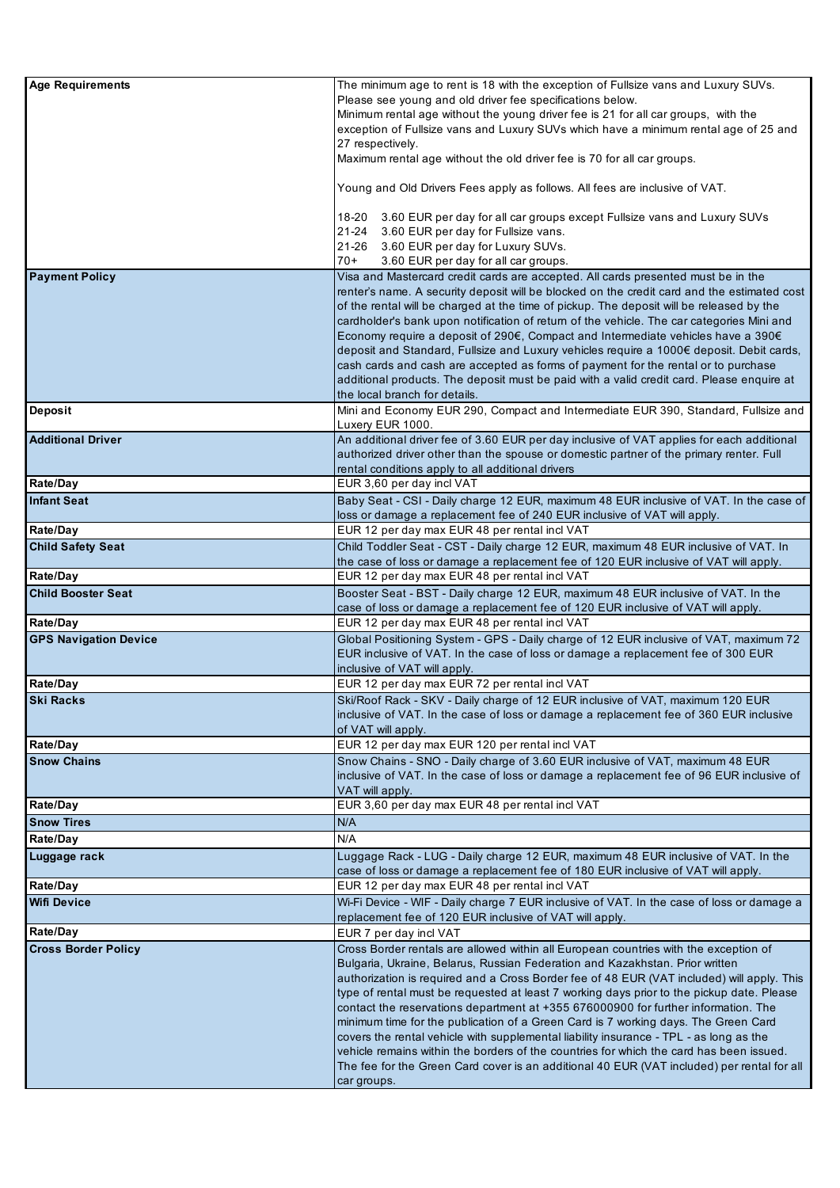| <b>Age Requirements</b>      | The minimum age to rent is 18 with the exception of Fullsize vans and Luxury SUVs.                                                                                                    |
|------------------------------|---------------------------------------------------------------------------------------------------------------------------------------------------------------------------------------|
|                              | Please see young and old driver fee specifications below.                                                                                                                             |
|                              | Minimum rental age without the young driver fee is 21 for all car groups, with the                                                                                                    |
|                              | exception of Fullsize vans and Luxury SUVs which have a minimum rental age of 25 and<br>27 respectively.                                                                              |
|                              | Maximum rental age without the old driver fee is 70 for all car groups.                                                                                                               |
|                              |                                                                                                                                                                                       |
|                              | Young and Old Drivers Fees apply as follows. All fees are inclusive of VAT.                                                                                                           |
|                              | 18-20<br>3.60 EUR per day for all car groups except Fullsize vans and Luxury SUVs                                                                                                     |
|                              | 3.60 EUR per day for Fullsize vans.<br>21-24                                                                                                                                          |
|                              | 21-26<br>3.60 EUR per day for Luxury SUVs.                                                                                                                                            |
|                              | 3.60 EUR per day for all car groups.<br>$70+$                                                                                                                                         |
| <b>Payment Policy</b>        | Visa and Mastercard credit cards are accepted. All cards presented must be in the                                                                                                     |
|                              | renter's name. A security deposit will be blocked on the credit card and the estimated cost                                                                                           |
|                              | of the rental will be charged at the time of pickup. The deposit will be released by the<br>cardholder's bank upon notification of return of the vehicle. The car categories Mini and |
|                              | Economy require a deposit of 290€, Compact and Intermediate vehicles have a 390€                                                                                                      |
|                              | deposit and Standard, Fullsize and Luxury vehicles require a 1000€ deposit. Debit cards,                                                                                              |
|                              | cash cards and cash are accepted as forms of payment for the rental or to purchase                                                                                                    |
|                              | additional products. The deposit must be paid with a valid credit card. Please enquire at                                                                                             |
|                              | the local branch for details.                                                                                                                                                         |
| <b>Deposit</b>               | Mini and Economy EUR 290, Compact and Intermediate EUR 390, Standard, Fullsize and                                                                                                    |
| <b>Additional Driver</b>     | Luxery EUR 1000.<br>An additional driver fee of 3.60 EUR per day inclusive of VAT applies for each additional                                                                         |
|                              | authorized driver other than the spouse or domestic partner of the primary renter. Full                                                                                               |
|                              | rental conditions apply to all additional drivers                                                                                                                                     |
| Rate/Day                     | EUR 3,60 per day incl VAT                                                                                                                                                             |
| <b>Infant Seat</b>           | Baby Seat - CSI - Daily charge 12 EUR, maximum 48 EUR inclusive of VAT. In the case of                                                                                                |
|                              | loss or damage a replacement fee of 240 EUR inclusive of VAT will apply.                                                                                                              |
| Rate/Day                     | EUR 12 per day max EUR 48 per rental incl VAT                                                                                                                                         |
| <b>Child Safety Seat</b>     | Child Toddler Seat - CST - Daily charge 12 EUR, maximum 48 EUR inclusive of VAT. In                                                                                                   |
| Rate/Day                     | the case of loss or damage a replacement fee of 120 EUR inclusive of VAT will apply.<br>EUR 12 per day max EUR 48 per rental incl VAT                                                 |
| <b>Child Booster Seat</b>    | Booster Seat - BST - Daily charge 12 EUR, maximum 48 EUR inclusive of VAT. In the                                                                                                     |
|                              | case of loss or damage a replacement fee of 120 EUR inclusive of VAT will apply.                                                                                                      |
| Rate/Day                     | EUR 12 per day max EUR 48 per rental incl VAT                                                                                                                                         |
| <b>GPS Navigation Device</b> | Global Positioning System - GPS - Daily charge of 12 EUR inclusive of VAT, maximum 72                                                                                                 |
|                              | EUR inclusive of VAT. In the case of loss or damage a replacement fee of 300 EUR                                                                                                      |
| Rate/Day                     | inclusive of VAT will apply.<br>EUR 12 per day max EUR 72 per rental incl VAT                                                                                                         |
| <b>Ski Racks</b>             | Ski/Roof Rack - SKV - Daily charge of 12 EUR inclusive of VAT, maximum 120 EUR                                                                                                        |
|                              | inclusive of VAT. In the case of loss or damage a replacement fee of 360 EUR inclusive                                                                                                |
|                              | of VAT will apply.                                                                                                                                                                    |
| Rate/Day                     | EUR 12 per day max EUR 120 per rental incl VAT                                                                                                                                        |
| <b>Snow Chains</b>           | Snow Chains - SNO - Daily charge of 3.60 EUR inclusive of VAT, maximum 48 EUR                                                                                                         |
|                              | inclusive of VAT. In the case of loss or damage a replacement fee of 96 EUR inclusive of                                                                                              |
| Rate/Day                     | VAT will apply.<br>EUR 3,60 per day max EUR 48 per rental incl VAT                                                                                                                    |
| <b>Snow Tires</b>            | N/A                                                                                                                                                                                   |
| Rate/Day                     | N/A                                                                                                                                                                                   |
| Luggage rack                 | Luggage Rack - LUG - Daily charge 12 EUR, maximum 48 EUR inclusive of VAT. In the                                                                                                     |
|                              | case of loss or damage a replacement fee of 180 EUR inclusive of VAT will apply.                                                                                                      |
| Rate/Day                     | EUR 12 per day max EUR 48 per rental incl VAT                                                                                                                                         |
| <b>Wifi Device</b>           | Wi-Fi Device - WIF - Daily charge 7 EUR inclusive of VAT. In the case of loss or damage a                                                                                             |
| Rate/Day                     | replacement fee of 120 EUR inclusive of VAT will apply.<br>EUR 7 per day incl VAT                                                                                                     |
| <b>Cross Border Policy</b>   | Cross Border rentals are allowed within all European countries with the exception of                                                                                                  |
|                              | Bulgaria, Ukraine, Belarus, Russian Federation and Kazakhstan. Prior written                                                                                                          |
|                              | authorization is required and a Cross Border fee of 48 EUR (VAT included) will apply. This                                                                                            |
|                              | type of rental must be requested at least 7 working days prior to the pickup date. Please                                                                                             |
|                              | contact the reservations department at +355 676000900 for further information. The                                                                                                    |
|                              | minimum time for the publication of a Green Card is 7 working days. The Green Card                                                                                                    |
|                              | covers the rental vehicle with supplemental liability insurance - TPL - as long as the                                                                                                |
|                              | vehicle remains within the borders of the countries for which the card has been issued.<br>The fee for the Green Card cover is an additional 40 EUR (VAT included) per rental for all |
|                              | car groups.                                                                                                                                                                           |